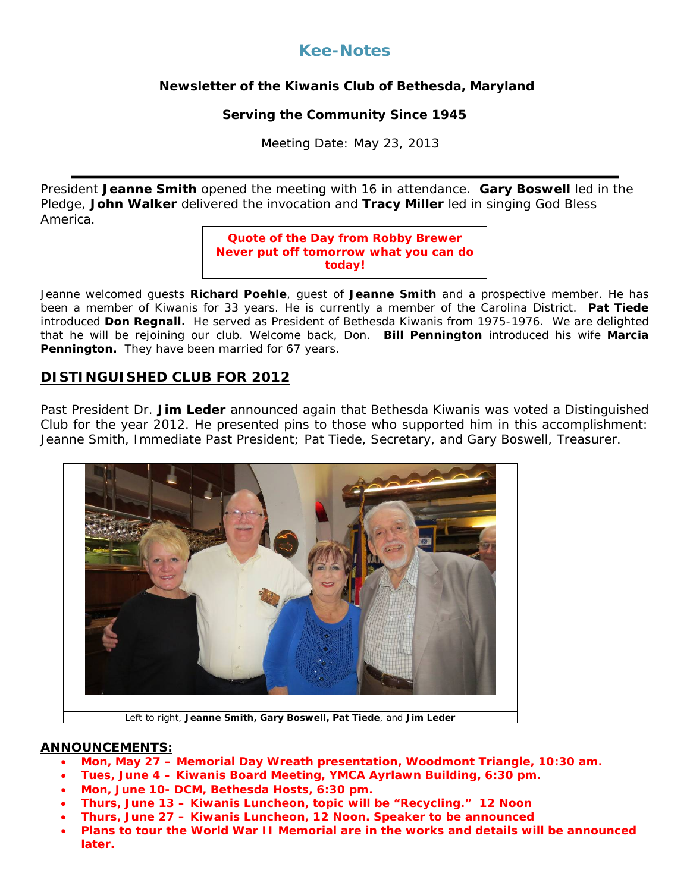# **Kee-Notes**

## **Newsletter of the Kiwanis Club of Bethesda, Maryland**

#### **Serving the Community Since 1945**

Meeting Date: May 23, 2013

President **Jeanne Smith** opened the meeting with 16 in attendance. **Gary Boswell** led in the Pledge, **John Walker** delivered the invocation and **Tracy Miller** led in singing God Bless America.

#### **Quote of the Day from Robby Brewer Never put off tomorrow what you can do today!**

Jeanne welcomed guests **Richard Poehle**, guest of **Jeanne Smith** and a prospective member. He has been a member of Kiwanis for 33 years. He is currently a member of the Carolina District. **Pat Tiede** introduced **Don Regnall.** He served as President of Bethesda Kiwanis from 1975-1976. We are delighted that he will be rejoining our club. Welcome back, Don. **Bill Pennington** introduced his wife **Marcia Pennington.** They have been married for 67 years.

# **DISTINGUISHED CLUB FOR 2012**

Past President Dr. **Jim Leder** announced again that Bethesda Kiwanis was voted a Distinguished Club for the year 2012. He presented pins to those who supported him in this accomplishment: Jeanne Smith, Immediate Past President; Pat Tiede, Secretary, and Gary Boswell, Treasurer.



Left to right, **Jeanne Smith, Gary Boswell, Pat Tiede**, and **Jim Leder**

#### **ANNOUNCEMENTS:**

- **Mon, May 27 – Memorial Day Wreath presentation, Woodmont Triangle, 10:30 am.**
- **Tues, June 4 – Kiwanis Board Meeting, YMCA Ayrlawn Building, 6:30 pm.**
- **Mon, June 10- DCM, Bethesda Hosts, 6:30 pm.**
- **Thurs, June 13 – Kiwanis Luncheon, topic will be "Recycling." 12 Noon**
- **Thurs, June 27 – Kiwanis Luncheon, 12 Noon. Speaker to be announced**
- **Plans to tour the World War II Memorial are in the works and details will be announced later.**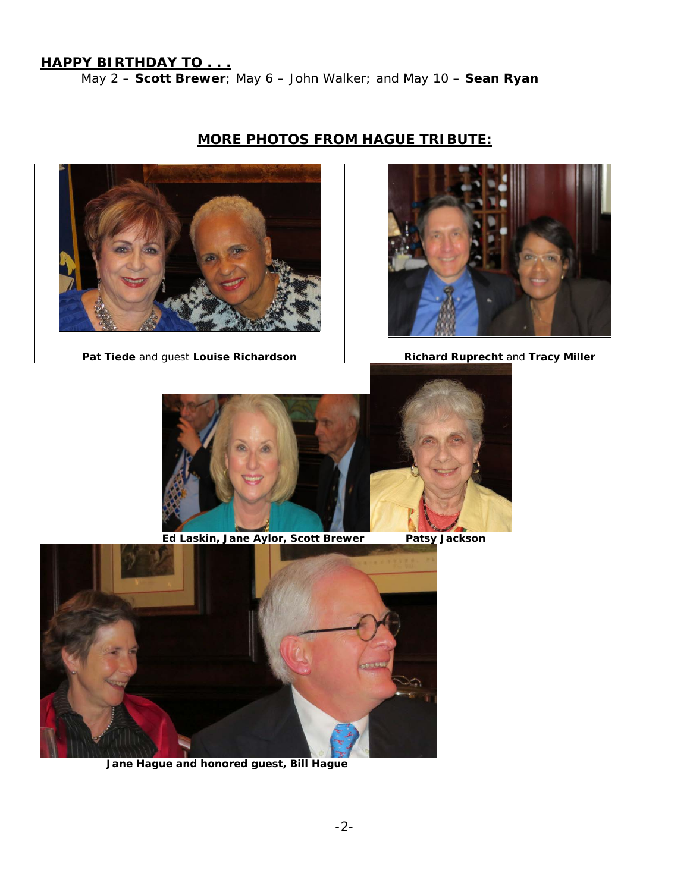**HAPPY BIRTHDAY TO . . .** 

May 2 – **Scott Brewer**; May 6 – *John Walker*; and May 10 – **Sean Ryan**

# **MORE PHOTOS FROM HAGUE TRIBUTE:**





**Pat Tiede and guest Louise Richardson <b>Richard Ruprecht** and **Tracy Miller** 



 **Ed Laskin, Jane Aylor, Scott Brewer Patsy Jackson**



 **Jane Hague and honored guest, Bill Hague**